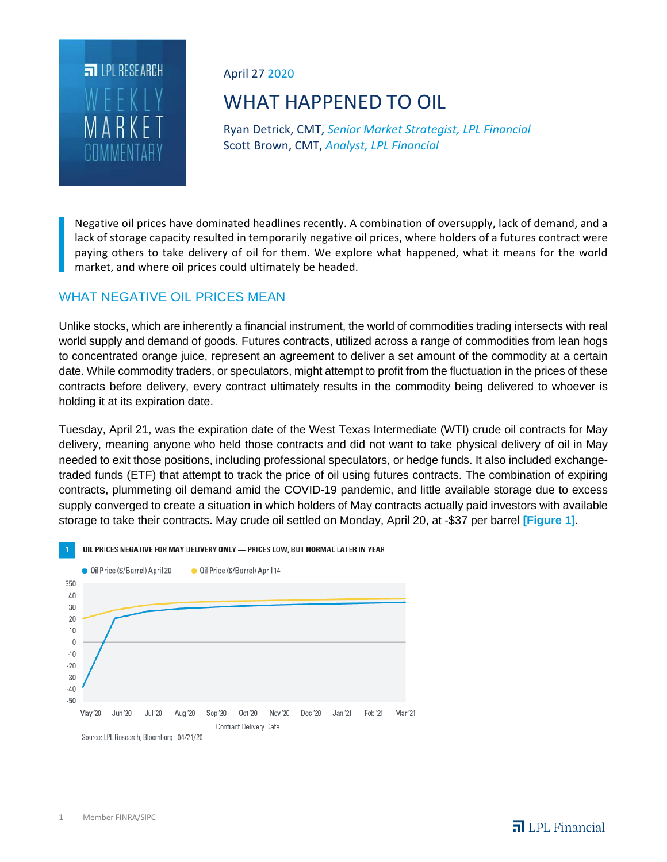

April 27 2020

# WHAT HAPPENED TO OIL

Ryan Detrick, CMT, *Senior Market Strategist, LPL Financial* Scott Brown, CMT, *Analyst, LPL Financial*

Negative oil prices have dominated headlines recently. A combination of oversupply, lack of demand, and a lack of storage capacity resulted in temporarily negative oil prices, where holders of a futures contract were paying others to take delivery of oil for them. We explore what happened, what it means for the world market, and where oil prices could ultimately be headed.

# WHAT NEGATIVE OIL PRICES MEAN

Unlike stocks, which are inherently a financial instrument, the world of commodities trading intersects with real world supply and demand of goods. Futures contracts, utilized across a range of commodities from lean hogs to concentrated orange juice, represent an agreement to deliver a set amount of the commodity at a certain date. While commodity traders, or speculators, might attempt to profit from the fluctuation in the prices of these contracts before delivery, every contract ultimately results in the commodity being delivered to whoever is holding it at its expiration date.

Tuesday, April 21, was the expiration date of the West Texas Intermediate (WTI) crude oil contracts for May delivery, meaning anyone who held those contracts and did not want to take physical delivery of oil in May needed to exit those positions, including professional speculators, or hedge funds. It also included exchangetraded funds (ETF) that attempt to track the price of oil using futures contracts. The combination of expiring contracts, plummeting oil demand amid the COVID-19 pandemic, and little available storage due to excess supply converged to create a situation in which holders of May contracts actually paid investors with available storage to take their contracts. May crude oil settled on Monday, April 20, at -\$37 per barrel **[Figure 1]**.



OIL PRICES NEGATIVE FOR MAY DELIVERY ONLY - PRICES LOW, BUT NORMAL LATER IN YEAR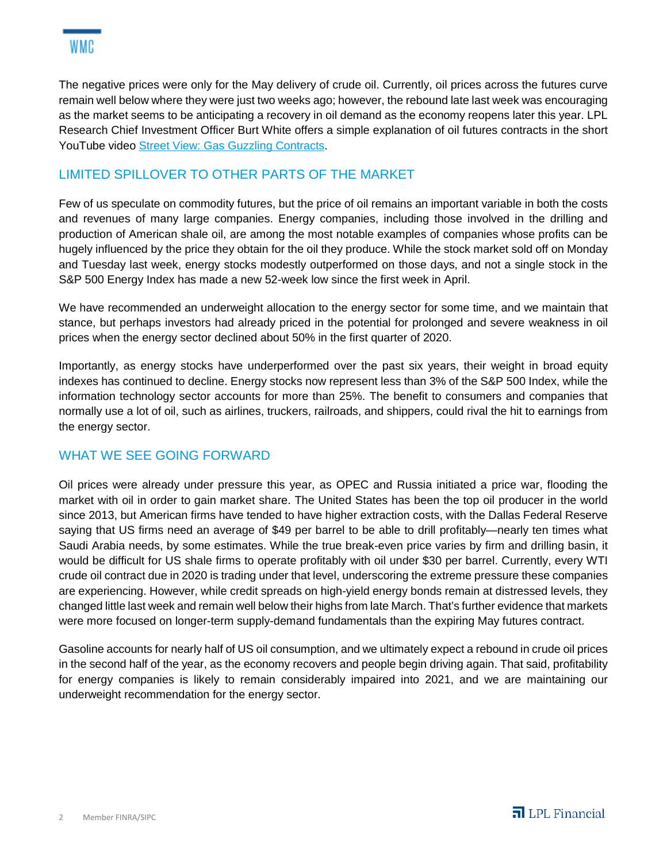The negative prices were only for the May delivery of crude oil. Currently, oil prices across the futures curve remain well below where they were just two weeks ago; however, the rebound late last week was encouraging as the market seems to be anticipating a recovery in oil demand as the economy reopens later this year. LPL Research Chief Investment Officer Burt White offers a simple explanation of oil futures contracts in the short YouTube video Street View: Gas Guzzling Contracts.

# LIMITED SPILLOVER TO OTHER PARTS OF THE MARKET

Few of us speculate on commodity futures, but the price of oil remains an important variable in both the costs and revenues of many large companies. Energy companies, including those involved in the drilling and production of American shale oil, are among the most notable examples of companies whose profits can be hugely influenced by the price they obtain for the oil they produce. While the stock market sold off on Monday and Tuesday last week, energy stocks modestly outperformed on those days, and not a single stock in the S&P 500 Energy Index has made a new 52-week low since the first week in April.

We have recommended an underweight allocation to the energy sector for some time, and we maintain that stance, but perhaps investors had already priced in the potential for prolonged and severe weakness in oil prices when the energy sector declined about 50% in the first quarter of 2020.

Importantly, as energy stocks have underperformed over the past six years, their weight in broad equity indexes has continued to decline. Energy stocks now represent less than 3% of the S&P 500 Index, while the information technology sector accounts for more than 25%. The benefit to consumers and companies that normally use a lot of oil, such as airlines, truckers, railroads, and shippers, could rival the hit to earnings from the energy sector.

# WHAT WE SEE GOING FORWARD

Oil prices were already under pressure this year, as OPEC and Russia initiated a price war, flooding the market with oil in order to gain market share. The United States has been the top oil producer in the world since 2013, but American firms have tended to have higher extraction costs, with the Dallas Federal Reserve saying that US firms need an average of \$49 per barrel to be able to drill profitably—nearly ten times what Saudi Arabia needs, by some estimates. While the true break-even price varies by firm and drilling basin, it would be difficult for US shale firms to operate profitably with oil under \$30 per barrel. Currently, every WTI crude oil contract due in 2020 is trading under that level, underscoring the extreme pressure these companies are experiencing. However, while credit spreads on high-yield energy bonds remain at distressed levels, they changed little last week and remain well below their highs from late March. That's further evidence that markets were more focused on longer-term supply-demand fundamentals than the expiring May futures contract.

Gasoline accounts for nearly half of US oil consumption, and we ultimately expect a rebound in crude oil prices in the second half of the year, as the economy recovers and people begin driving again. That said, profitability for energy companies is likely to remain considerably impaired into 2021, and we are maintaining our underweight recommendation for the energy sector.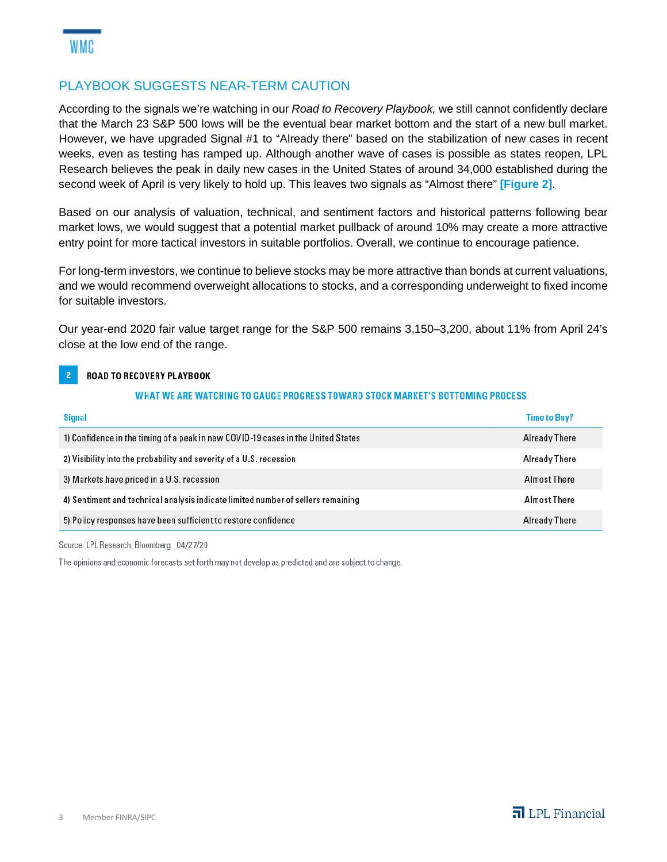### PLAYBOOK SUGGESTS NEAR-TERM CAUTION

According to the signals we're watching in our *Road to Recovery Playbook,* we still cannot confidently declare that the March 23 S&P 500 lows will be the eventual bear market bottom and the start of a new bull market. However, we have upgraded Signal #1 to "Already there" based on the stabilization of new cases in recent weeks, even as testing has ramped up. Although another wave of cases is possible as states reopen, LPL Research believes the peak in daily new cases in the United States of around 34,000 established during the second week of April is very likely to hold up. This leaves two signals as "Almost there" **[Figure 2]**.

Based on our analysis of valuation, technical, and sentiment factors and historical patterns following bear market lows, we would suggest that a potential market pullback of around 10% may create a more attractive entry point for more tactical investors in suitable portfolios. Overall, we continue to encourage patience.

For long-term investors, we continue to believe stocks may be more attractive than bonds at current valuations, and we would recommend overweight allocations to stocks, and a corresponding underweight to fixed income for suitable investors.

Our year-end 2020 fair value target range for the S&P 500 remains 3,150–3,200, about 11% from April 24's close at the low end of the range.

#### $\overline{2}$ ROAD TO RECOVERY PLAYBOOK

#### WHAT WE ARE WATCHING TO GAUGE PROGRESS TOWARD STOCK MARKET'S BOTTOMING PROCESS

| <b>Signal</b>                                                                    | <b>Time to Buy?</b>  |
|----------------------------------------------------------------------------------|----------------------|
| 1) Confidence in the timing of a peak in new COVID-19 cases in the United States | Already There        |
| 2) Visibility into the probability and severity of a U.S. recession              | Already There        |
| 3) Markets have priced in a U.S. recession                                       | Almost There         |
| 4) Sentiment and technical analysis indicate limited number of sellers remaining | Almost There         |
| 5) Policy responses have been sufficient to restore confidence                   | <b>Already There</b> |

#### Source: LPL Research, Bloomberg 04/27/20

The opinions and economic forecasts set forth may not develop as predicted and are subject to change.